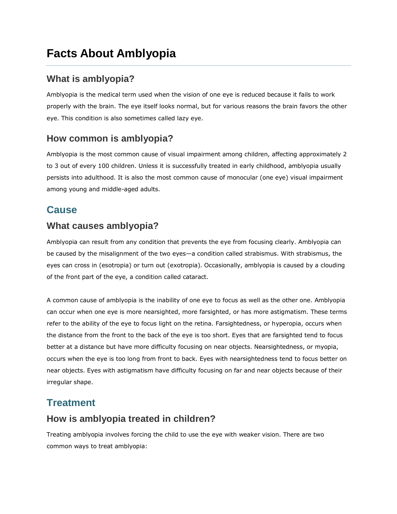# **Facts About Amblyopia**

# **What is amblyopia?**

Amblyopia is the medical term used when the vision of one eye is reduced because it fails to work properly with the brain. The eye itself looks normal, but for various reasons the brain favors the other eye. This condition is also sometimes called lazy eye.

## **How common is amblyopia?**

Amblyopia is the most common cause of visual impairment among children, affecting approximately 2 to 3 out of every 100 children. Unless it is successfully treated in early childhood, amblyopia usually persists into adulthood. It is also the most common cause of monocular (one eye) visual impairment among young and middle-aged adults.

# **Cause**

### **What causes amblyopia?**

Amblyopia can result from any condition that prevents the eye from focusing clearly. Amblyopia can be caused by the misalignment of the two eyes—a condition called strabismus. With strabismus, the eyes can cross in (esotropia) or turn out (exotropia). Occasionally, amblyopia is caused by a clouding of the front part of the eye, a condition called cataract.

A common cause of amblyopia is the inability of one eye to focus as well as the other one. Amblyopia can occur when one eye is more nearsighted, more farsighted, or has more astigmatism. These terms refer to the ability of the eye to focus light on the retina. Farsightedness, or hyperopia, occurs when the distance from the front to the back of the eye is too short. Eyes that are farsighted tend to focus better at a distance but have more difficulty focusing on near objects. Nearsightedness, or myopia, occurs when the eye is too long from front to back. Eyes with nearsightedness tend to focus better on near objects. Eyes with astigmatism have difficulty focusing on far and near objects because of their irregular shape.

# **Treatment**

### **How is amblyopia treated in children?**

Treating amblyopia involves forcing the child to use the eye with weaker vision. There are two common ways to treat amblyopia: